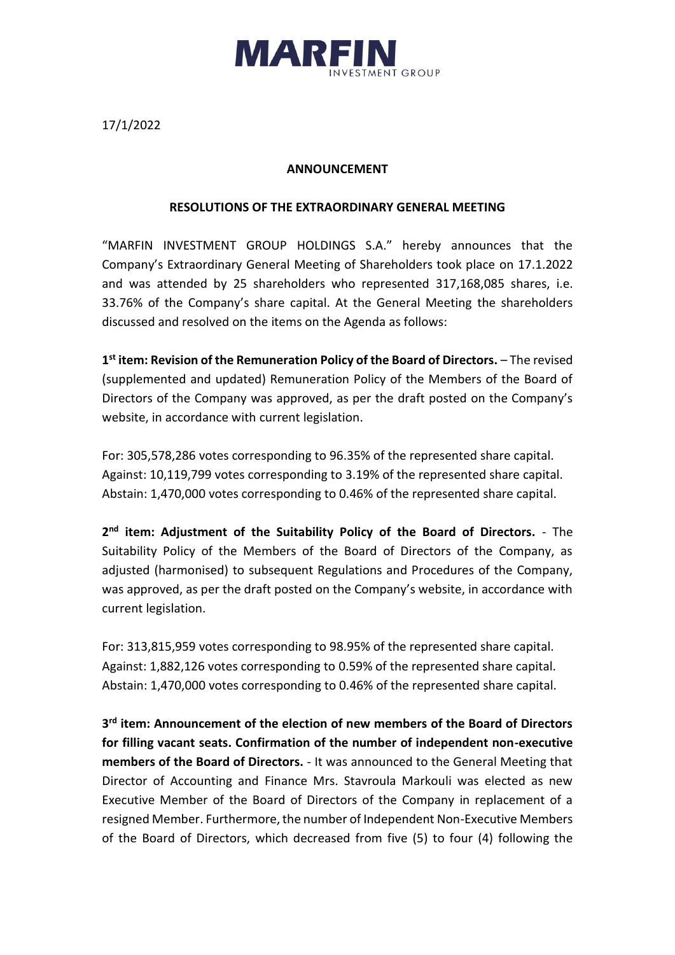

17/1/2022

## **ANNOUNCEMENT**

## **RESOLUTIONS OF THE EXTRAORDINARY GENERAL MEETING**

"MARFIN INVESTMENT GROUP HOLDINGS S.A." hereby announces that the Company's Extraordinary General Meeting of Shareholders took place on 17.1.2022 and was attended by 25 shareholders who represented 317,168,085 shares, i.e. 33.76% of the Company's share capital. At the General Meeting the shareholders discussed and resolved on the items on the Agenda as follows:

**1 st item: Revision of the Remuneration Policy of the Board of Directors.** – The revised (supplemented and updated) Remuneration Policy of the Members of the Board of Directors of the Company was approved, as per the draft posted on the Company's website, in accordance with current legislation.

For: 305,578,286 votes corresponding to 96.35% of the represented share capital. Against: 10,119,799 votes corresponding to 3.19% of the represented share capital. Abstain: 1,470,000 votes corresponding to 0.46% of the represented share capital.

2<sup>nd</sup> item: Adjustment of the Suitability Policy of the Board of Directors. - The Suitability Policy of the Members of the Board of Directors of the Company, as adjusted (harmonised) to subsequent Regulations and Procedures of the Company, was approved, as per the draft posted on the Company's website, in accordance with current legislation.

For: 313,815,959 votes corresponding to 98.95% of the represented share capital. Against: 1,882,126 votes corresponding to 0.59% of the represented share capital. Abstain: 1,470,000 votes corresponding to 0.46% of the represented share capital.

**3 rd item: Announcement of the election of new members of the Board of Directors for filling vacant seats. Confirmation of the number of independent non-executive members of the Board of Directors.** - It was announced to the General Meeting that Director of Accounting and Finance Mrs. Stavroula Markouli was elected as new Executive Member of the Board of Directors of the Company in replacement of a resigned Member. Furthermore, the number of Independent Non-Executive Members of the Board of Directors, which decreased from five (5) to four (4) following the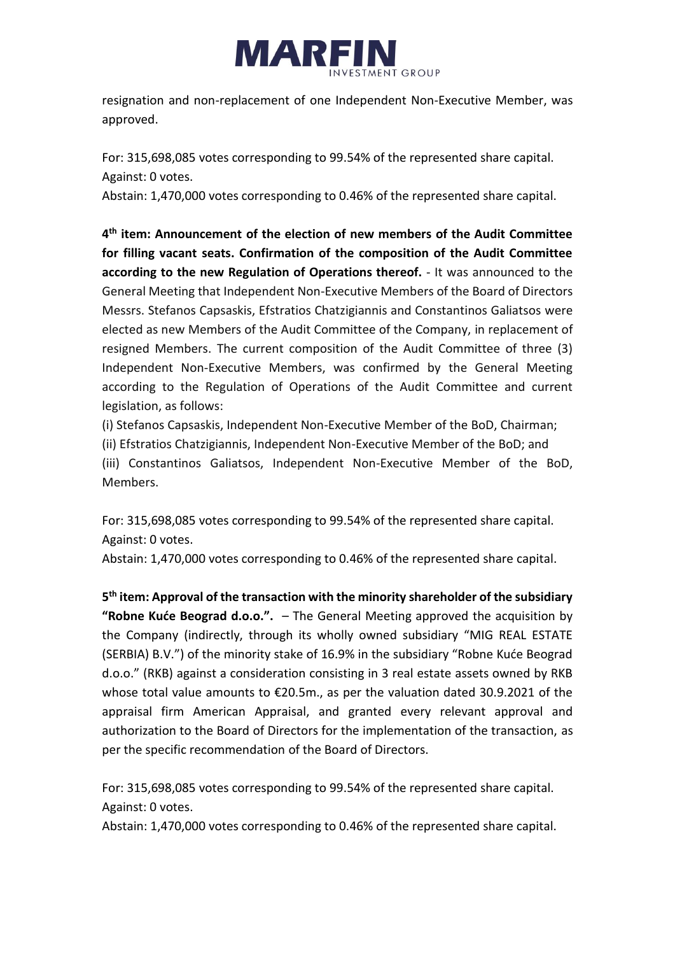

resignation and non-replacement of one Independent Non-Executive Member, was approved.

For: 315,698,085 votes corresponding to 99.54% of the represented share capital. Against: 0 votes.

Abstain: 1,470,000 votes corresponding to 0.46% of the represented share capital.

**4 th item: Announcement of the election of new members of the Audit Committee for filling vacant seats. Confirmation of the composition of the Audit Committee according to the new Regulation of Operations thereof.** - It was announced to the General Meeting that Independent Non-Executive Members of the Board of Directors Messrs. Stefanos Capsaskis, Efstratios Chatzigiannis and Constantinos Galiatsos were elected as new Members of the Audit Committee of the Company, in replacement of resigned Members. The current composition of the Audit Committee of three (3) Independent Non-Executive Members, was confirmed by the General Meeting according to the Regulation of Operations of the Audit Committee and current legislation, as follows:

(i) Stefanos Capsaskis, Independent Non-Executive Member of the BoD, Chairman; (ii) Efstratios Chatzigiannis, Independent Non-Executive Member of the BoD; and (iii) Constantinos Galiatsos, Independent Non-Executive Member of the BoD, Members.

For: 315,698,085 votes corresponding to 99.54% of the represented share capital. Against: 0 votes.

Abstain: 1,470,000 votes corresponding to 0.46% of the represented share capital.

**5 th item: Approval of the transaction with the minority shareholder of the subsidiary "Robne Kuće Beograd d.o.o.".** – The General Meeting approved the acquisition by the Company (indirectly, through its wholly owned subsidiary "MIG REAL ESTATE (SERBIA) B.V.") of the minority stake of 16.9% in the subsidiary "Robne Kuće Beograd d.o.o." (RKB) against a consideration consisting in 3 real estate assets owned by RKB whose total value amounts to €20.5m., as per the valuation dated 30.9.2021 of the appraisal firm American Appraisal, and granted every relevant approval and authorization to the Board of Directors for the implementation of the transaction, as per the specific recommendation of the Board of Directors.

For: 315,698,085 votes corresponding to 99.54% of the represented share capital. Against: 0 votes.

Abstain: 1,470,000 votes corresponding to 0.46% of the represented share capital.